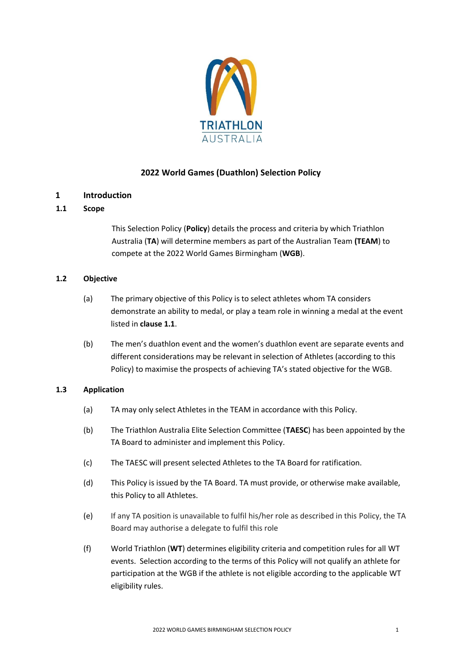

# **2022 World Games (Duathlon) Selection Policy**

## **1 Introduction**

## **1.1 Scope**

This Selection Policy (**Policy**) details the process and criteria by which Triathlon Australia (**TA**) will determine members as part of the Australian Team **(TEAM**) to compete at the 2022 World Games Birmingham (**WGB**).

#### **1.2 Objective**

- (a) The primary objective of this Policy is to select athletes whom TA considers demonstrate an ability to medal, or play a team role in winning a medal at the event listed in **clause 1.1**.
- (b) The men's duathlon event and the women's duathlon event are separate events and different considerations may be relevant in selection of Athletes (according to this Policy) to maximise the prospects of achieving TA's stated objective for the WGB.

## **1.3 Application**

- (a) TA may only select Athletes in the TEAM in accordance with this Policy.
- (b) The Triathlon Australia Elite Selection Committee (**TAESC**) has been appointed by the TA Board to administer and implement this Policy.
- (c) The TAESC will present selected Athletes to the TA Board for ratification.
- (d) This Policy is issued by the TA Board. TA must provide, or otherwise make available, this Policy to all Athletes.
- (e) If any TA position is unavailable to fulfil his/her role as described in this Policy, the TA Board may authorise a delegate to fulfil this role
- (f) World Triathlon (**WT**) determines eligibility criteria and competition rules for all WT events. Selection according to the terms of this Policy will not qualify an athlete for participation at the WGB if the athlete is not eligible according to the applicable WT eligibility rules.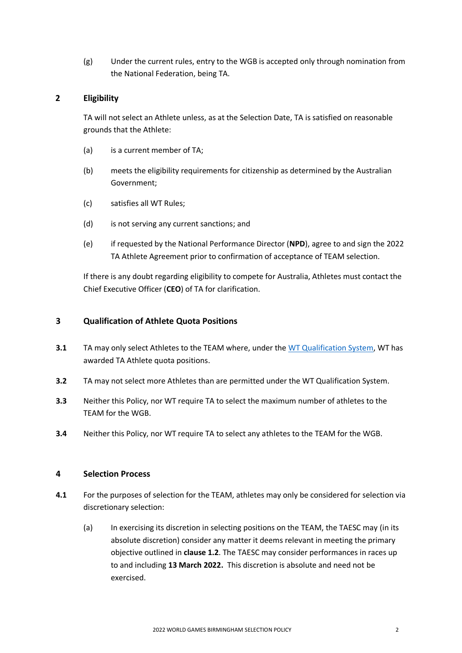(g) Under the current rules, entry to the WGB is accepted only through nomination from the National Federation, being TA.

## **2 Eligibility**

TA will not select an Athlete unless, as at the Selection Date, TA is satisfied on reasonable grounds that the Athlete:

- (a) is a current member of TA;
- (b) meets the eligibility requirements for citizenship as determined by the Australian Government;
- (c) satisfies all WT Rules;
- (d) is not serving any current sanctions; and
- (e) if requested by the National Performance Director (**NPD**), agree to and sign the 2022 TA Athlete Agreement prior to confirmation of acceptance of TEAM selection.

If there is any doubt regarding eligibility to compete for Australia, Athletes must contact the Chief Executive Officer (**CEO**) of TA for clarification.

#### **3 Qualification of Athlete Quota Positions**

- **3.1** TA may only select Athletes to the TEAM where, under the WT [Qualification System,](https://www.triathlon.org/uploads/docs/Qualification-System-duathlon-world-games-20200128.pdf) WT has awarded TA Athlete quota positions.
- **3.2** TA may not select more Athletes than are permitted under the WT Qualification System.
- **3.3** Neither this Policy, nor WT require TA to select the maximum number of athletes to the TEAM for the WGB.
- **3.4** Neither this Policy, nor WT require TA to select any athletes to the TEAM for the WGB.

## **4 Selection Process**

- **4.1** For the purposes of selection for the TEAM, athletes may only be considered for selection via discretionary selection:
	- (a) In exercising its discretion in selecting positions on the TEAM, the TAESC may (in its absolute discretion) consider any matter it deems relevant in meeting the primary objective outlined in **clause 1.2**. The TAESC may consider performances in races up to and including **13 March 2022.** This discretion is absolute and need not be exercised.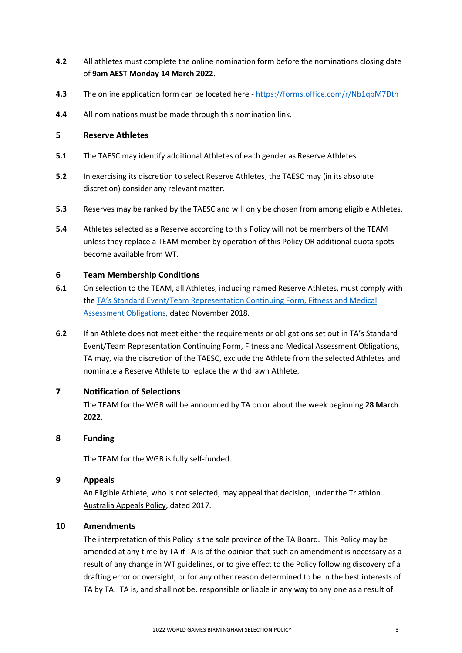- **4.2** All athletes must complete the online nomination form before the nominations closing date of **9am AEST Monday 14 March 2022.**
- **4.3** The online application form can be located here <https://forms.office.com/r/Nb1qbM7Dth>
- **4.4** All nominations must be made through this nomination link.

#### **5 Reserve Athletes**

- **5.1** The TAESC may identify additional Athletes of each gender as Reserve Athletes.
- **5.2** In exercising its discretion to select Reserve Athletes, the TAESC may (in its absolute discretion) consider any relevant matter.
- **5.3** Reserves may be ranked by the TAESC and will only be chosen from among eligible Athletes.
- **5.4** Athletes selected as a Reserve according to this Policy will not be members of the TEAM unless they replace a TEAM member by operation of this Policy OR additional quota spots become available from WT.

#### **6 Team Membership Conditions**

- **6.1** On selection to the TEAM, all Athletes, including named Reserve Athletes, must comply with the TA's Standard [Event/Team Representation Continuing Form, Fitness and Medical](http://www.triathlon.org.au/Assets/Triathlon+Australia+Digital+Assets/Athlete+Fitness+and+Medical+Obligations.pdf)  [Assessment Obligations,](http://www.triathlon.org.au/Assets/Triathlon+Australia+Digital+Assets/Athlete+Fitness+and+Medical+Obligations.pdf) dated November 2018.
- **6.2** If an Athlete does not meet either the requirements or obligations set out in TA's Standard Event/Team Representation Continuing Form, Fitness and Medical Assessment Obligations, TA may, via the discretion of the TAESC, exclude the Athlete from the selected Athletes and nominate a Reserve Athlete to replace the withdrawn Athlete.

## **7 Notification of Selections**

The TEAM for the WGB will be announced by TA on or about the week beginning **28 March 2022**.

#### **8 Funding**

The TEAM for the WGB is fully self-funded.

#### **9 Appeals**

An Eligible Athlete, who is not selected, may appeal that decision, under the [Triathlon](http://www.triathlon.org.au/Assets/Triathlon+Australia+Digital+Assets/2017+Triathlon+Australia+Appeals+Policy.pdf)  [Australia Appeals Policy,](http://www.triathlon.org.au/Assets/Triathlon+Australia+Digital+Assets/2017+Triathlon+Australia+Appeals+Policy.pdf) dated 2017.

## **10 Amendments**

The interpretation of this Policy is the sole province of the TA Board. This Policy may be amended at any time by TA if TA is of the opinion that such an amendment is necessary as a result of any change in WT guidelines, or to give effect to the Policy following discovery of a drafting error or oversight, or for any other reason determined to be in the best interests of TA by TA. TA is, and shall not be, responsible or liable in any way to any one as a result of